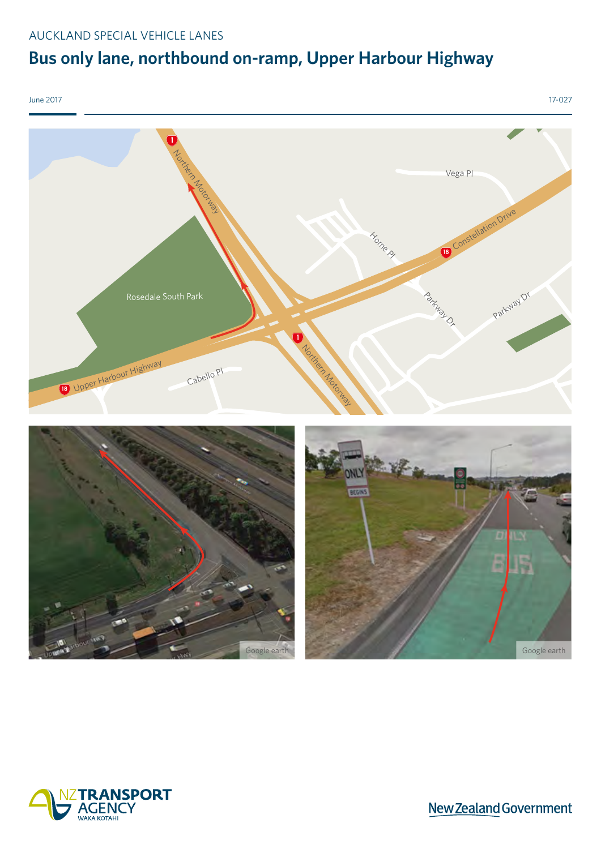### AUCKLAND SPECIAL VEHICLE LANES

# **Bus only lane, northbound on-ramp, Upper Harbour Highway**



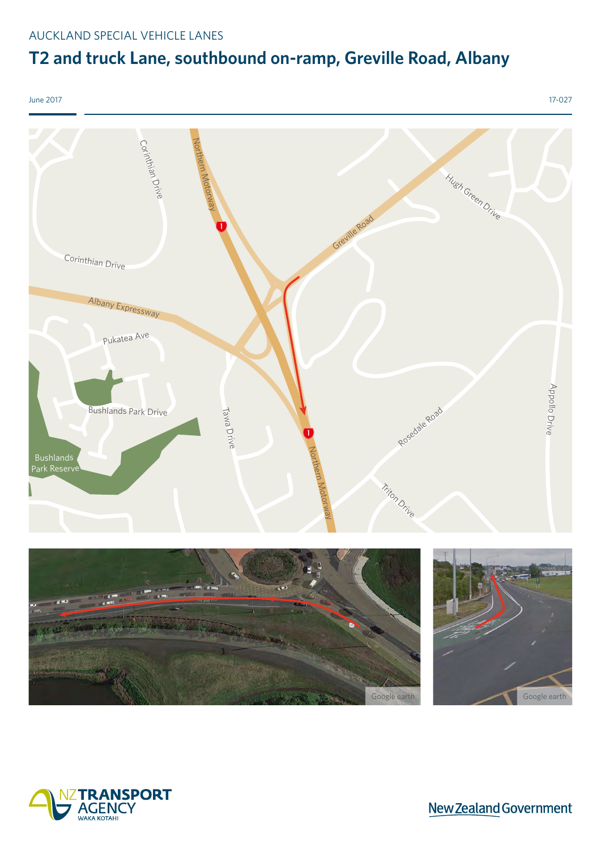## **T2 and truck Lane, southbound on-ramp, Greville Road, Albany**



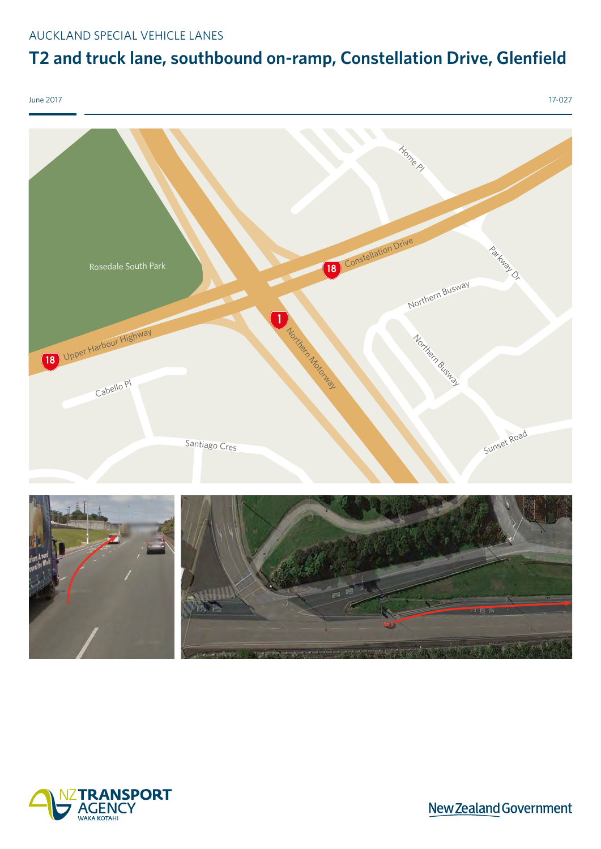### AUCKLAND SPECIAL VEHICLE LANES

# **T2 and truck lane, southbound on-ramp, Constellation Drive, Glenfield**

June 2017 17-027 Rosedale South Park **Home Pl** Northern Motorway Parkway Dr Cabello Pl **18** Upper Harbour Highway **Constellation Drive** Northern Busway Sunset Road Northern Busway Santiago Cres



New Zealand Government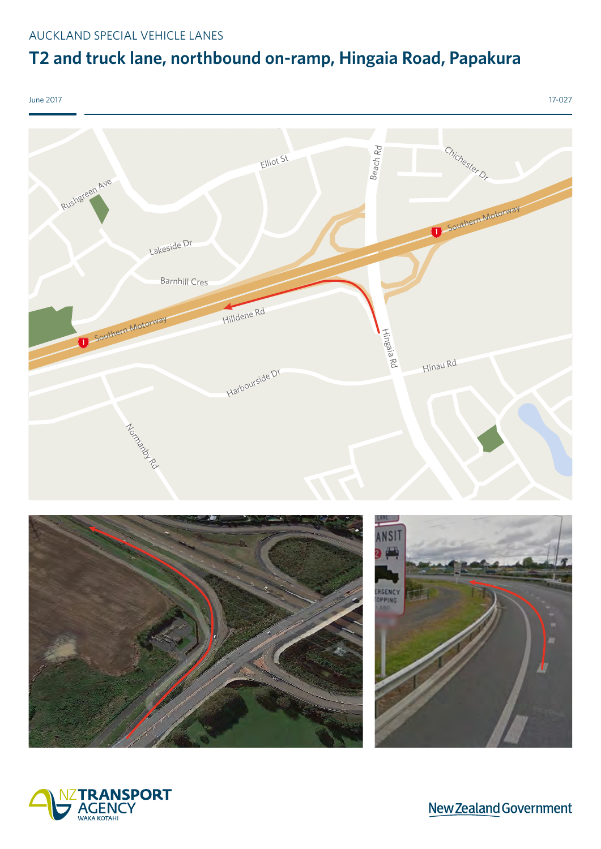## **T2 and truck lane, northbound on-ramp, Hingaia Road, Papakura**



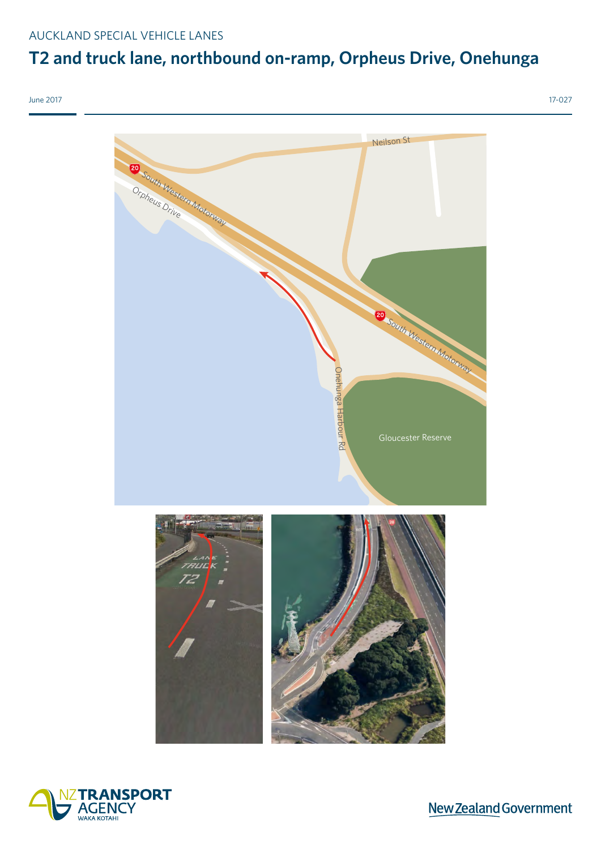## **T2 and truck lane, northbound on-ramp, Orpheus Drive, Onehunga**



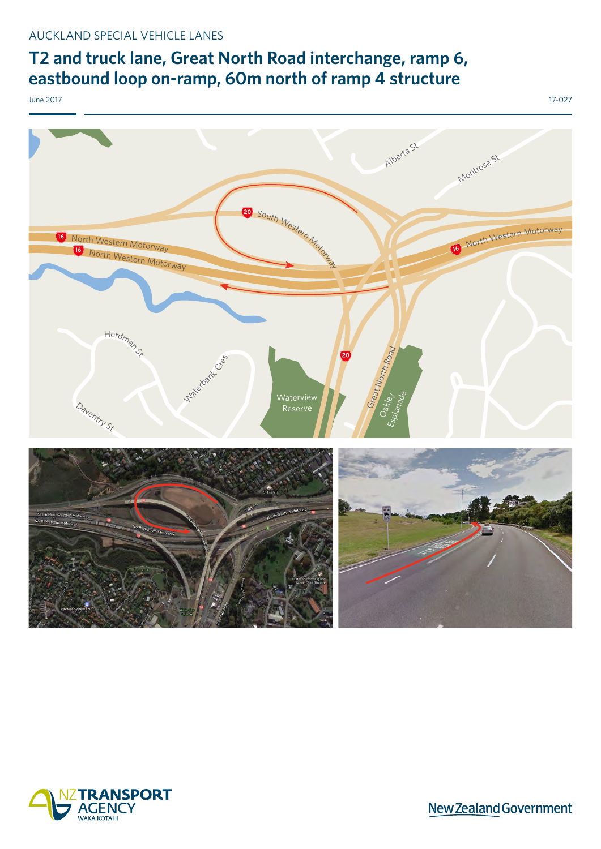### **T2 and truck lane, Great North Road interchange, ramp 6, eastbound loop on-ramp, 60m north of ramp 4 structure**



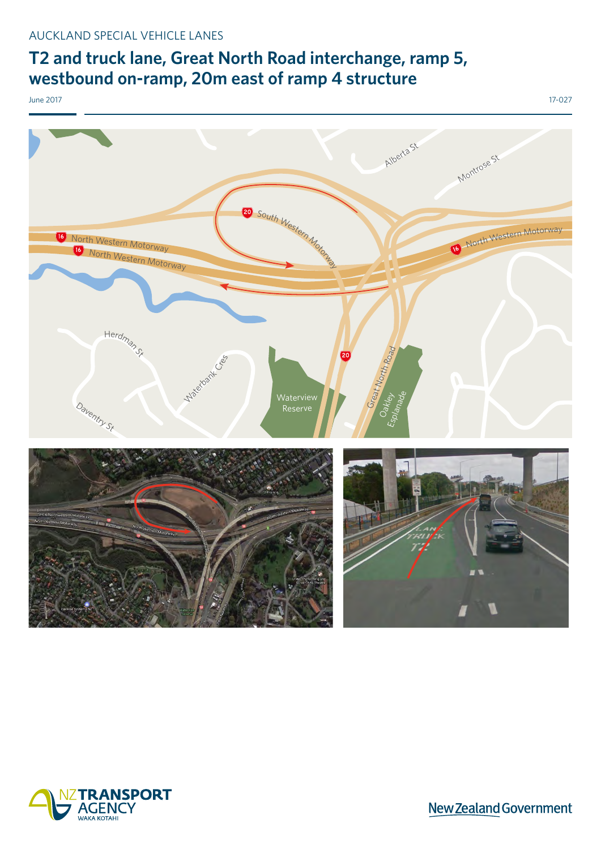### **T2 and truck lane, Great North Road interchange, ramp 5, westbound on-ramp, 20m east of ramp 4 structure**



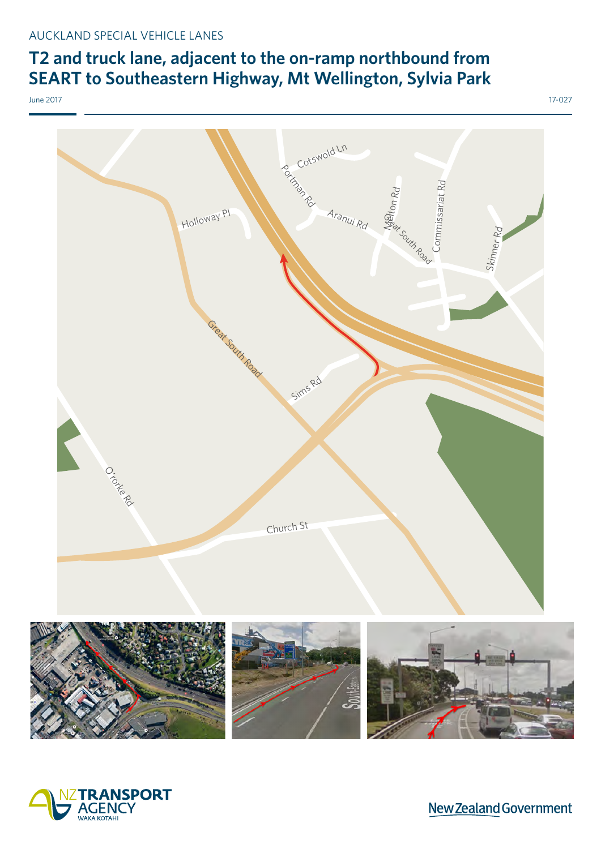## **T2 and truck lane, adjacent to the on-ramp northbound from SEART to Southeastern Highway, Mt Wellington, Sylvia Park**



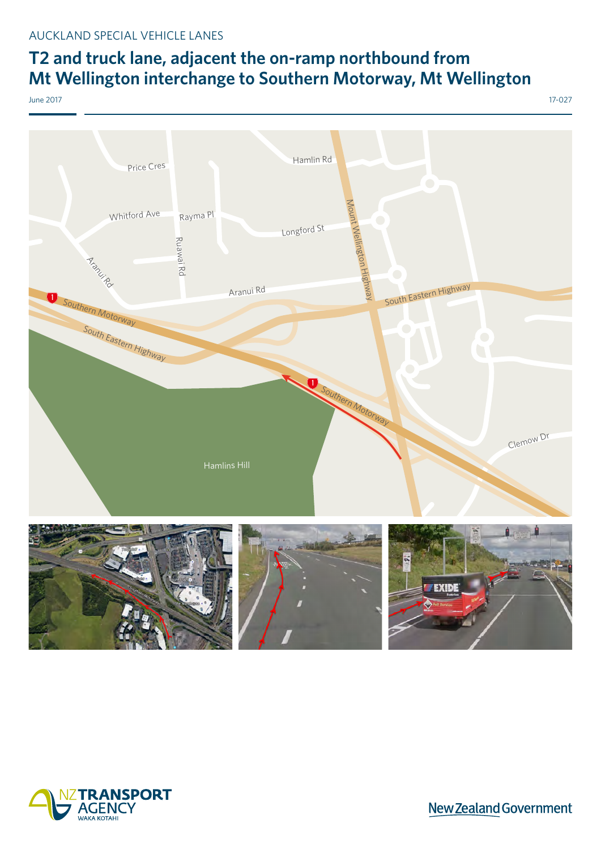### **T2 and truck lane, adjacent the on-ramp northbound from Mt Wellington interchange to Southern Motorway, Mt Wellington**

June 2017 17-027

Aranui Rd Aranui Rd Whitford Ave Longford St Hamlin Rd Ruawai Rd Price Cres Rayma Pl Clemow Dr Southern Motorway Southern Motorway Hamlins Hill South Eastern Highway Mount Wellington Highway South Eastern Highway



**New Zealand Government**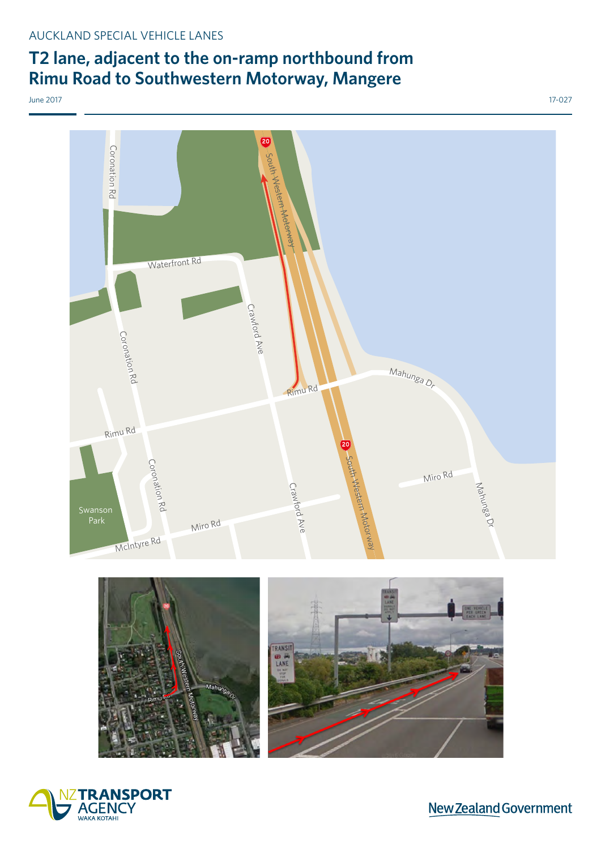### **T2 lane, adjacent to the on-ramp northbound from Rimu Road to Southwestern Motorway, Mangere**